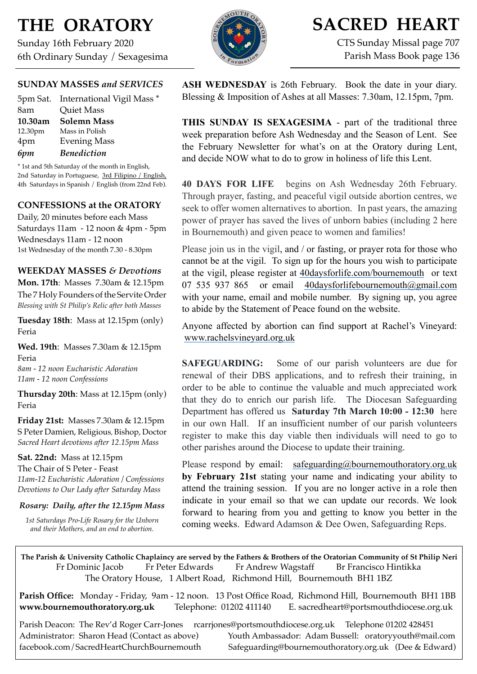# **THE ORATORY**

Sunday 16th February 2020 6th Ordinary Sunday / Sexagesima



# **SACRED HEART**

CTS Sunday Missal page 707 Parish Mass Book page 136

## **SUNDAY MASSES** *and SERVICES*

|         | 5pm Sat. International Vigil Mass * |
|---------|-------------------------------------|
| 8am     | <b>Quiet Mass</b>                   |
| 10.30am | <b>Solemn Mass</b>                  |
| 12.30pm | Mass in Polish                      |
| 4pm     | <b>Evening Mass</b>                 |
| 6pm     | <b>Benediction</b>                  |

\* 1st and 5th Saturday of the month in English, 2nd Saturday in Portuguese, 3rd Filipino / English, 4th Saturdays in Spanish / English (from 22nd Feb).

## **CONFESSIONS at the ORATORY**

Daily, 20 minutes before each Mass Saturdays 11am - 12 noon & 4pm - 5pm Wednesdays 11am - 12 noon 1st Wednesday of the month 7.30 - 8.30pm

## **WEEKDAY MASSES** *& Devotions*

**Mon. 17th**: Masses 7.30am & 12.15pm The 7 Holy Founders of the Servite Order *Blessing with St Philip's Relic after both Masses*

**Tuesday 18th**: Mass at 12.15pm (only) Feria

**Wed. 19th**: Masses 7.30am & 12.15pm Feria *8am - 12 noon Eucharistic Adoration*

*11am - 12 noon Confessions*

**Thursday 20th**: Mass at 12.15pm (only) Feria

**Friday 21st:** Masses 7.30am & 12.15pm S Peter Damien, Religious, Bishop, Doctor *Sacred Heart devotions after 12.15pm Mass*

**Sat. 22nd:** Mass at 12.15pm The Chair of S Peter - Feast *11am-12 Eucharistic Adoration / Confessions Devotions to Our Lady after Saturday Mass*

### *Rosary: Daily, after the 12.15pm Mass*

*1st Saturdays Pro-Life Rosary for the Unborn and their Mothers, and an end to abortion.*

**ASH WEDNESDAY** is 26th February. Book the date in your diary. Blessing & Imposition of Ashes at all Masses: 7.30am, 12.15pm, 7pm.

**THIS SUNDAY IS SEXAGESIMA** - part of the traditional three week preparation before Ash Wednesday and the Season of Lent. See the February Newsletter for what's on at the Oratory during Lent, and decide NOW what to do to grow in holiness of life this Lent.

**40 DAYS FOR LIFE** begins on Ash Wednesday 26th February. Through prayer, fasting, and peaceful vigil outside abortion centres, we seek to offer women alternatives to abortion. In past years, the amazing power of prayer has saved the lives of unborn babies (including 2 here in Bournemouth) and given peace to women and families!

Please join us in the vigil, and / or fasting, or prayer rota for those who cannot be at the vigil. To sign up for the hours you wish to participate at the vigil, please register at [40daysforlife.com/bournemouth](http://40daysforlife.com/bournemouth) or text 07 535 937 865 or email [40daysforlifebournemouth@gmail.com](mailto:40daysforlifebournemouth@gmail.com) with your name, email and mobile number. By signing up, you agree to abide by the Statement of Peace found on the website.

Anyone affected by abortion can find support at Rachel's Vineyard: [www.rachelsvineyard.org.uk](http://www.rachelsvineyard.org.uk/)

**SAFEGUARDING:** Some of our parish volunteers are due for renewal of their DBS applications, and to refresh their training, in order to be able to continue the valuable and much appreciated work that they do to enrich our parish life. The Diocesan Safeguarding Department has offered us **Saturday 7th March 10:00 - 12:30** here in our own Hall. If an insufficient number of our parish volunteers register to make this day viable then individuals will need to go to other parishes around the Diocese to update their training.

Please respond by email: [safeguarding@bournemouthoratory.org.uk](mailto:safeguarding@bournemouthoratory.org.uk) **by February 21st** stating your name and indicating your ability to attend the training session. If you are no longer active in a role then indicate in your email so that we can update our records. We look forward to hearing from you and getting to know you better in the coming weeks. Edward Adamson & Dee Owen, Safeguarding Reps.

**The Parish & University Catholic Chaplaincy are served by the Fathers & Brothers of the Oratorian Community of St Philip Neri**  Fr Dominic Jacob Fr Peter Edwards Fr Andrew Wagstaff Br Francisco Hintikka The Oratory House, 1 Albert Road, Richmond Hill, Bournemouth BH1 1BZ

**Parish Office:** Monday - Friday, 9am - 12 noon. 13 Post Office Road, Richmond Hill, Bournemouth BH1 1BB **[www.bournemouthoratory.org.uk](http://www.bournemoithoratory.org.uk)** Telephone: 01202 411140 E. [sacredheart@portsmouthdiocese.org.uk](mailto:sacredheart@portsmouthdiocese.org.uk)

Parish Deacon: The Rev'd Roger Carr-Jones [rcarrjones@portsmouthdiocese.org.uk](mailto:rcarrjones@portsmouthdiocese.org.uk) Telephone 01202 428451

Administrator: Sharon Head (Contact as above) Youth Ambassador: Adam Bussell: [oratoryyouth@mail.com](http://oratoryyouth.mail.com) [facebook.com/SacredHeartChurchBournemouth](http://facebook.com/SaccredHeartChurchBournemouth) [Safeguarding@bournemouthoratory.org.uk](mailto:safeguarding@bournemouthoratory.org.uk) (Dee & Edward)